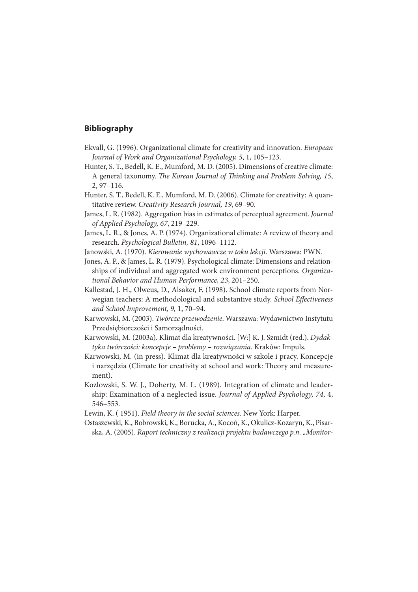## **Bibliography**

- Ekvall, G. (1996). Organizational climate for creativity and innovation. European Journal of Work and Organizational Psychology, 5, 1, 105–123.
- Hunter, S. T., Bedell, K. E., Mumford, M. D. (2005). Dimensions of creative climate: A general taxonomy. The Korean Journal of Thinking and Problem Solving, 15, 2, 97–116.
- Hunter, S. T., Bedell, K. E., Mumford, M. D. (2006). Climate for creativity: A quantitative review. Creativity Research Journal, 19, 69–90.
- James, L. R. (1982). Aggregation bias in estimates of perceptual agreement. Journal of Applied Psychology, 67, 219–229.
- James, L. R., & Jones, A. P. (1974). Organizational climate: A review of theory and research. Psychological Bulletin, 81, 1096–1112.
- Janowski, A. (1970). Kierowanie wychowawcze w toku lekcji. Warszawa: PWN.
- Jones, A. P., & James, L. R. (1979). Psychological climate: Dimensions and relationships of individual and aggregated work environment perceptions. Organizational Behavior and Human Performance, 23, 201–250.
- Kallestad, J. H., Olweus, D., Alsaker, F. (1998). School climate reports from Norwegian teachers: A methodological and substantive study. School Effectiveness and School Improvement, 9, 1, 70–94.
- Karwowski, M. (2003). Twórcze przewodzenie. Warszawa: Wydawnictwo Instytutu Przedsiębiorczości i Samorządności.
- Karwowski, M. (2003a). Klimat dla kreatywności. [W:] K. J. Szmidt (red.). Dydaktyka twórczości: koncepcje – problemy – rozwiązania. Kraków: Impuls.
- Karwowski, M. (in press). Klimat dla kreatywności w szkole i pracy. Koncepcje i narzędzia (Climate for creativity at school and work: Theory and measurement).
- Kozlowski, S. W. J., Doherty, M. L. (1989). Integration of climate and leadership: Examination of a neglected issue. Journal of Applied Psychology, 74, 4, 546–553.
- Lewin, K. ( 1951). Field theory in the social sciences. New York: Harper.
- Ostaszewski, K., Bobrowski, K., Borucka, A., Kocoń, K., Okulicz-Kozaryn, K., Pisarska, A. (2005). Raport techniczny z realizacji projektu badawczego p.n. "Monitor-